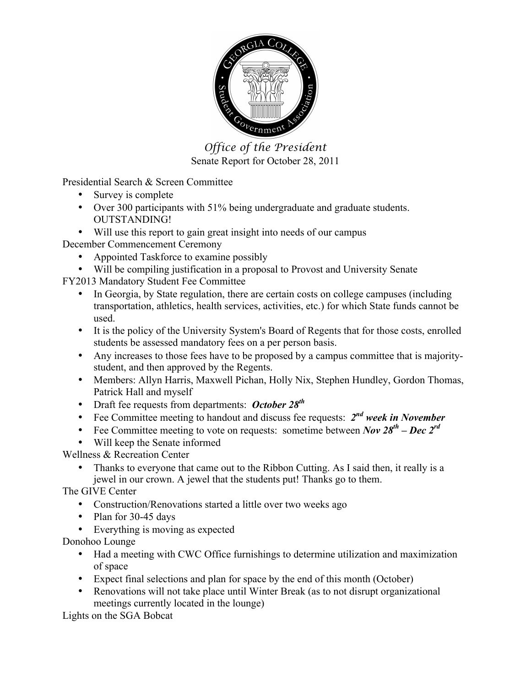

*Office of the President* Senate Report for October 28, 2011

Presidential Search & Screen Committee

- Survey is complete
- Over 300 participants with 51% being undergraduate and graduate students. OUTSTANDING!
- Will use this report to gain great insight into needs of our campus

December Commencement Ceremony

- Appointed Taskforce to examine possibly
- Will be compiling justification in a proposal to Provost and University Senate

FY2013 Mandatory Student Fee Committee

- In Georgia, by State regulation, there are certain costs on college campuses (including transportation, athletics, health services, activities, etc.) for which State funds cannot be used.
- It is the policy of the University System's Board of Regents that for those costs, enrolled students be assessed mandatory fees on a per person basis.
- Any increases to those fees have to be proposed by a campus committee that is majoritystudent, and then approved by the Regents.
- Members: Allyn Harris, Maxwell Pichan, Holly Nix, Stephen Hundley, Gordon Thomas, Patrick Hall and myself
- Draft fee requests from departments: *October 28th*
- Fee Committee meeting to handout and discuss fee requests: *2nd week in November*
- Fee Committee meeting to vote on requests: sometime between *Nov*  $28^{th}$  *Dec*  $2^{rd}$
- Will keep the Senate informed

Wellness & Recreation Center

• Thanks to everyone that came out to the Ribbon Cutting. As I said then, it really is a jewel in our crown. A jewel that the students put! Thanks go to them.

The GIVE Center

- Construction/Renovations started a little over two weeks ago
- Plan for 30-45 days
- Everything is moving as expected

Donohoo Lounge

- Had a meeting with CWC Office furnishings to determine utilization and maximization of space
- Expect final selections and plan for space by the end of this month (October)
- Renovations will not take place until Winter Break (as to not disrupt organizational meetings currently located in the lounge)

Lights on the SGA Bobcat